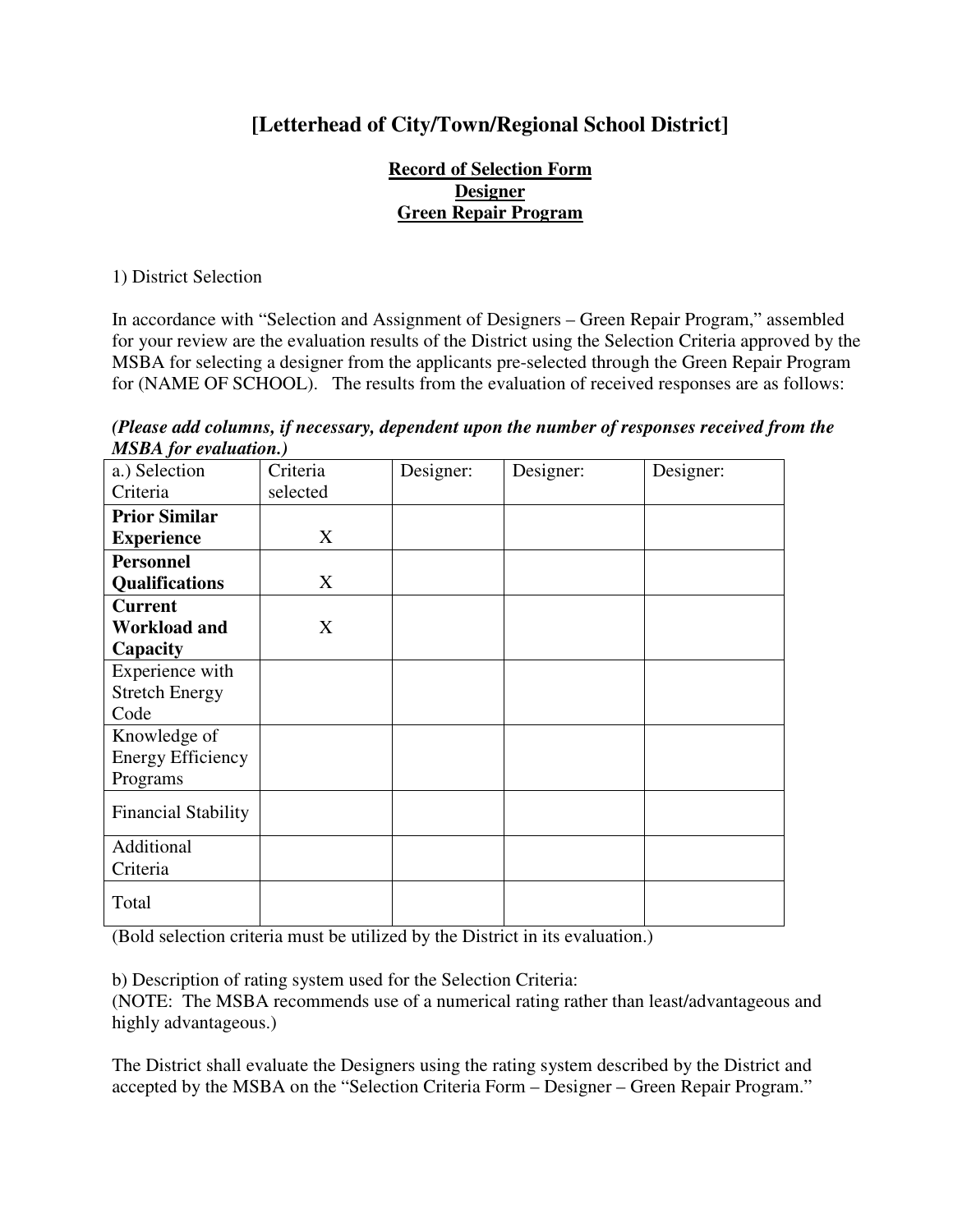## **[Letterhead of City/Town/Regional School District]**

## **Record of Selection Form Designer Green Repair Program**

1) District Selection

In accordance with "Selection and Assignment of Designers – Green Repair Program," assembled for your review are the evaluation results of the District using the Selection Criteria approved by the MSBA for selecting a designer from the applicants pre-selected through the Green Repair Program for (NAME OF SCHOOL). The results from the evaluation of received responses are as follows:

*(Please add columns, if necessary, dependent upon the number of responses received from the MSBA for evaluation.)* 

| 1119111 <sub>1</sub> 01 c/ <i>mmmon1</i> , |          |           |           |           |
|--------------------------------------------|----------|-----------|-----------|-----------|
| a.) Selection                              | Criteria | Designer: | Designer: | Designer: |
| Criteria                                   | selected |           |           |           |
| <b>Prior Similar</b>                       |          |           |           |           |
| <b>Experience</b>                          | X        |           |           |           |
| <b>Personnel</b>                           |          |           |           |           |
| <b>Qualifications</b>                      | X        |           |           |           |
| <b>Current</b>                             |          |           |           |           |
| <b>Workload and</b>                        | X        |           |           |           |
| Capacity                                   |          |           |           |           |
| Experience with                            |          |           |           |           |
| <b>Stretch Energy</b>                      |          |           |           |           |
| Code                                       |          |           |           |           |
| Knowledge of                               |          |           |           |           |
| <b>Energy Efficiency</b>                   |          |           |           |           |
| Programs                                   |          |           |           |           |
| <b>Financial Stability</b>                 |          |           |           |           |
| Additional                                 |          |           |           |           |
| Criteria                                   |          |           |           |           |
| Total                                      |          |           |           |           |

(Bold selection criteria must be utilized by the District in its evaluation.)

b) Description of rating system used for the Selection Criteria:

(NOTE: The MSBA recommends use of a numerical rating rather than least/advantageous and highly advantageous.)

The District shall evaluate the Designers using the rating system described by the District and accepted by the MSBA on the "Selection Criteria Form – Designer – Green Repair Program."